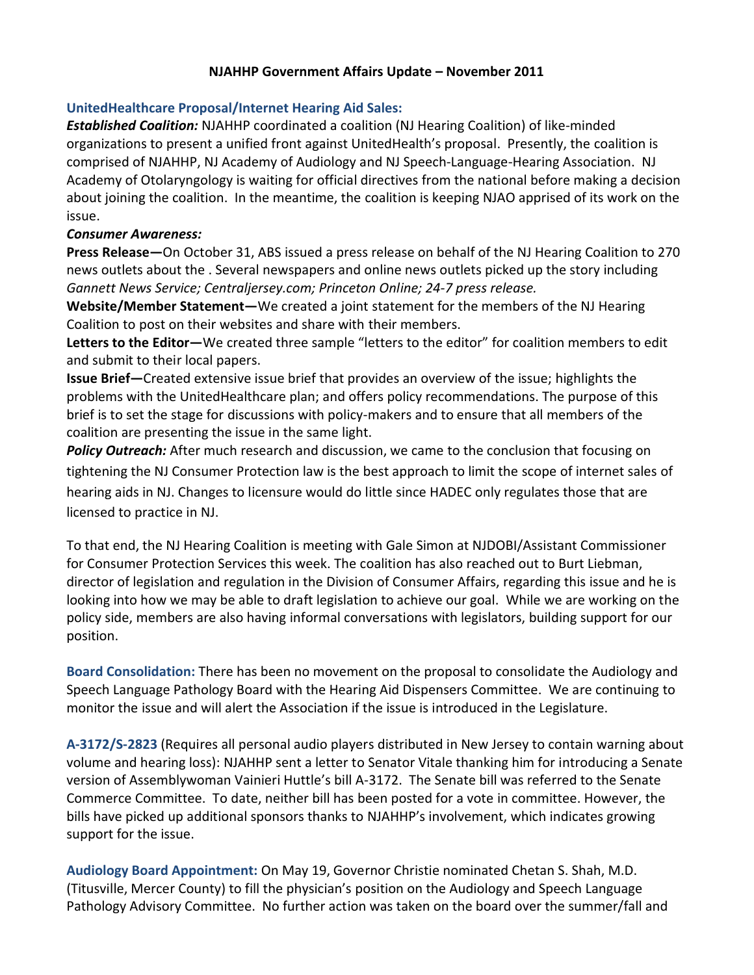## **NJAHHP Government Affairs Update – November 2011**

## **UnitedHealthcare Proposal/Internet Hearing Aid Sales:**

*Established Coalition:* NJAHHP coordinated a coalition (NJ Hearing Coalition) of like-minded organizations to present a unified front against UnitedHealth's proposal. Presently, the coalition is comprised of NJAHHP, NJ Academy of Audiology and NJ Speech-Language-Hearing Association. NJ Academy of Otolaryngology is waiting for official directives from the national before making a decision about joining the coalition. In the meantime, the coalition is keeping NJAO apprised of its work on the issue.

## *Consumer Awareness:*

**Press Release—**On October 31, ABS issued a press release on behalf of the NJ Hearing Coalition to 270 news outlets about the . Several newspapers and online news outlets picked up the story including *Gannett News Service; Centraljersey.com; Princeton Online; 24-7 press release.*

**Website/Member Statement—**We created a joint statement for the members of the NJ Hearing Coalition to post on their websites and share with their members.

**Letters to the Editor—**We created three sample "letters to the editor" for coalition members to edit and submit to their local papers.

**Issue Brief—**Created extensive issue brief that provides an overview of the issue; highlights the problems with the UnitedHealthcare plan; and offers policy recommendations. The purpose of this brief is to set the stage for discussions with policy-makers and to ensure that all members of the coalition are presenting the issue in the same light.

Policy Outreach: After much research and discussion, we came to the conclusion that focusing on tightening the NJ Consumer Protection law is the best approach to limit the scope of internet sales of hearing aids in NJ. Changes to licensure would do little since HADEC only regulates those that are licensed to practice in NJ.

To that end, the NJ Hearing Coalition is meeting with Gale Simon at NJDOBI/Assistant Commissioner for Consumer Protection Services this week. The coalition has also reached out to Burt Liebman, director of legislation and regulation in the Division of Consumer Affairs, regarding this issue and he is looking into how we may be able to draft legislation to achieve our goal. While we are working on the policy side, members are also having informal conversations with legislators, building support for our position.

**Board Consolidation:** There has been no movement on the proposal to consolidate the Audiology and Speech Language Pathology Board with the Hearing Aid Dispensers Committee. We are continuing to monitor the issue and will alert the Association if the issue is introduced in the Legislature.

**A-3172/S-2823** (Requires all personal audio players distributed in New Jersey to contain warning about volume and hearing loss): NJAHHP sent a letter to Senator Vitale thanking him for introducing a Senate version of Assemblywoman Vainieri Huttle's bill A-3172. The Senate bill was referred to the Senate Commerce Committee. To date, neither bill has been posted for a vote in committee. However, the bills have picked up additional sponsors thanks to NJAHHP's involvement, which indicates growing support for the issue.

**Audiology Board Appointment:** On May 19, Governor Christie nominated Chetan S. Shah, M.D. (Titusville, Mercer County) to fill the physician's position on the Audiology and Speech Language Pathology Advisory Committee. No further action was taken on the board over the summer/fall and